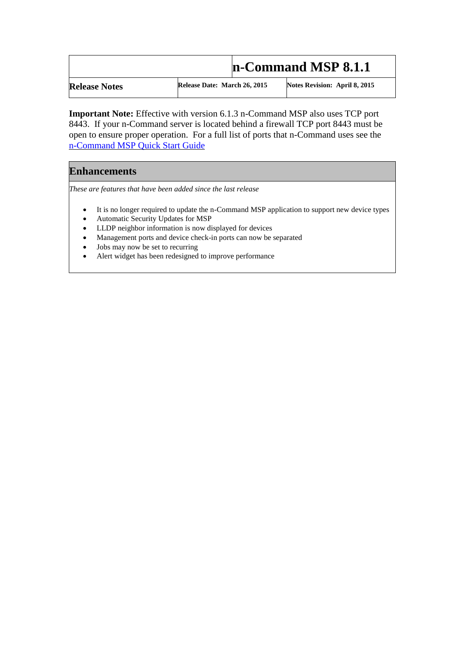## **n-Command MSP 8.1.1**

**Release Notes Release Date: March 26, 2015 Notes Revision: April 8, 2015**

**Important Note:** Effective with version 6.1.3 n-Command MSP also uses TCP port 8443. If your n-Command server is located behind a firewall TCP port 8443 must be open to ensure proper operation. For a full list of ports that n-Command uses see the [n-Command MSP Quick Start Guide](https://supportforums.adtran.com/docs/DOC-1217) 

## **Enhancements**

*These are features that have been added since the last release*

- It is no longer required to update the n-Command MSP application to support new device types
- Automatic Security Updates for MSP
- LLDP neighbor information is now displayed for devices
- Management ports and device check-in ports can now be separated
- Jobs may now be set to recurring
- Alert widget has been redesigned to improve performance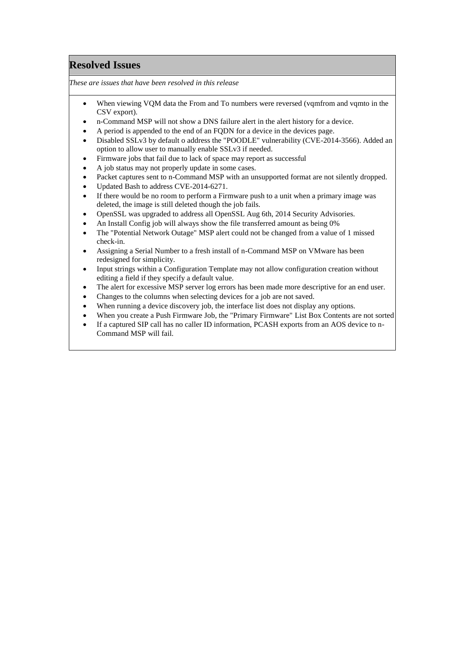## **Resolved Issues**

*These are issues that have been resolved in this release*

- When viewing VQM data the From and To numbers were reversed (vqmfrom and vqmto in the CSV export).
- n-Command MSP will not show a DNS failure alert in the alert history for a device.
- A period is appended to the end of an FQDN for a device in the devices page.
- Disabled SSLv3 by default o address the "POODLE" vulnerability (CVE-2014-3566). Added an option to allow user to manually enable SSLv3 if needed.
- Firmware jobs that fail due to lack of space may report as successful
- A job status may not properly update in some cases.
- Packet captures sent to n-Command MSP with an unsupported format are not silently dropped.
- Updated Bash to address CVE-2014-6271.
- If there would be no room to perform a Firmware push to a unit when a primary image was deleted, the image is still deleted though the job fails.
- OpenSSL was upgraded to address all OpenSSL Aug 6th, 2014 Security Advisories.
- An Install Config job will always show the file transferred amount as being 0%
- The "Potential Network Outage" MSP alert could not be changed from a value of 1 missed check-in.
- Assigning a Serial Number to a fresh install of n-Command MSP on VMware has been redesigned for simplicity.
- Input strings within a Configuration Template may not allow configuration creation without editing a field if they specify a default value.
- The alert for excessive MSP server log errors has been made more descriptive for an end user.
- Changes to the columns when selecting devices for a job are not saved.
- When running a device discovery job, the interface list does not display any options.
- When you create a Push Firmware Job, the "Primary Firmware" List Box Contents are not sorted
- If a captured SIP call has no caller ID information, PCASH exports from an AOS device to n-Command MSP will fail.